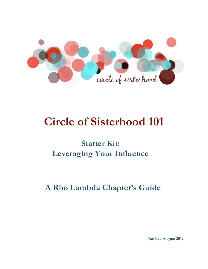

# **Circle of Sisterhood 101**

## **Starter Kit: Leveraging Your Influence**

**A Rho Lambda Chapter's Guide**

**Revised August 2019**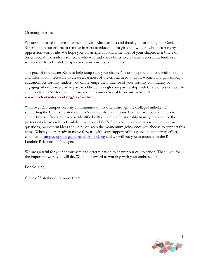#### Greetings Heroes,

We are so pleased to have a partnership with Rho Lambda and thank you for joining the Circle of Sisterhood in our efforts to remove barriers to education for girls and women who face poverty and oppression worldwide. We hope you will assign/appoint a member of your chapter as a Circle of Sisterhood Ambassador - someone who will lead your efforts to create awareness and fundraise within your Rho Lambda chapter and your sorority community.

The goal of this Starter Kit is to help jump start your chapter's work by providing you with the tools and information necessary to create awareness of the critical need to uplift women and girls through education. As sorority leaders, you can leverage the influence of your sorority community by engaging others to make an impact worldwide through your partnership with Circle of Sisterhood. In addition to this Starter Kit, there are more resources available on our website at **[www.circleofsisterhood.org/take-action](https://www.circleofsisterhood.org/take-action/)**.

With over 280 campus sorority communities (most often through the College Panhellenic) supporting the Circle of Sisterhood, we've established a Campus Team of over 35 volunteers to support those efforts. We've also identified a Rho Lambda Relationship Manager to oversee the partnership between Rho Lambda chapters and CofS. She is here to serve as a resource to answer questions, brainstorm ideas and help you keep the momentum going once you choose to support this cause. When you are ready to move forward with your support of this global humanitarian effort, email us at campussupport $(a)$ circleofsisterhood.org and we will put you in touch with the Rho Lambda Relationship Manager.

We are grateful for your enthusiasm and determination to answer our call to action. Thank you for the important work you will do. We look forward to working with your ambassador!

For the girls,

Circle of Sisterhood Campus Team

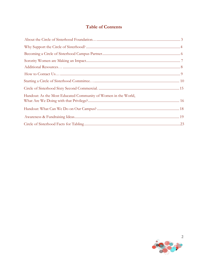## **Table of Contents**

| Handout: As the Most Educated Community of Women in the World, |  |
|----------------------------------------------------------------|--|
|                                                                |  |
|                                                                |  |
|                                                                |  |

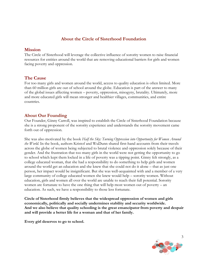## **About the Circle of Sisterhood Foundation**

## <span id="page-3-0"></span>**Mission**

The Circle of Sisterhood will leverage the collective influence of sorority women to raise financial resources for entities around the world that are removing educational barriers for girls and women facing poverty and oppression.

## **The Cause**

For too many girls and women around the world, access to quality education is often limited. More than 60 million girls are out of school around the globe. Education is part of the answer to many of the global issues affecting women – poverty, oppression, misogyny, brutality. Ultimately, more and more educated girls will mean stronger and healthier villages, communities, and entire countries.

## **About Our Founding**

Our Founder, Ginny Carroll, was inspired to establish the Circle of Sisterhood Foundation because she is a strong proponent of the sorority experience and understands the sorority movement came forth out of oppression.

She was also motivated by the book *Half the Sky: Turning Oppression into Opportunity for Women Around the World*. In the book, authors Kristof and WuDunn shared first-hand accounts from their travels across the globe of women being subjected to brutal violence and oppression solely because of their gender. And the frustration that too many girls in the world were not getting the opportunity to go to school which kept them locked in a life of poverty was a tipping point. Ginny felt strongly, as a college educated woman, that she had a responsibility to do something to help girls and women around the world get an education and she knew that she could not do it alone – that as just one person, her impact would be insignificant. But she was well-acquainted with and a member of a very large community of college educated women she knew would help – sorority women. Without education, girls and women all over the world are unable to reach their full potential. Sorority women are fortunate to have the one thing that will help most women out of poverty – an education. As such, we have a responsibility to those less fortunate.

**Circle of Sisterhood firmly believes that the widespread oppression of women and girls economically, politically and socially undermines stability and security worldwide. And we also believe that quality schooling is the great emancipator from poverty and despair and will provide a better life for a woman and that of her family.**

**Every girl deserves to go to school.**

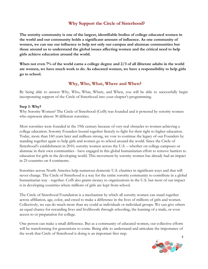## **Why Support the Circle of Sisterhood?**

<span id="page-4-0"></span>**The sorority community is one of the largest, identifiable bodies of college educated women in the world and our community holds a significant amount of influence. As one community of women, we can use our influence to help not only our campus and alumnae communities but those around us to understand the global issues affecting women and the critical need to help girls achieve education around the world.**

**When not even 7% of the world earns a college degree and 2/3 of all illiterate adults in the world are women, we have much work to do. As educated women, we have a responsibility to help girls go to school.**

## **Why, Who, What, Where and When?**

By being able to answer Why, Who, What, Where, and When, you will be able to successfully begin incorporating support of the Circle of Sisterhood into your chapter's programming.

#### **Step 1: Why?**

Why Sorority Women? The Circle of Sisterhood (CofS) was founded and is powered by sorority women who represent almost 30 different sororities.

Most sororities were founded in the 19th century because of very real obstacles to women achieving a college education. Sorority Founders bound together fiercely to fight for their right to higher education. Today, more than 160 years later and millions strong, we vow to continue the legacy of our Founders by standing together again to help girls and women go to school around the world. Since the Circle of Sisterhood's establishment in 2010, sorority women across the U.S. – whether on college campuses or alumnae in their own communities - have engaged in this global humanitarian effort to remove barriers to education for girls in the developing world. This movement by sorority women has already had an impact in 25 countries on 4 continents.

Sororities across North America help numerous domestic U.S. charities in significant ways and that will never change. The Circle of Sisterhood is a way for the entire sorority community to contribute in a global humanitarian way - together. CofS also grants money to organizations in the U.S. but most of our impact is in developing countries where millions of girls are kept from school.

The Circle of Sisterhood Foundation is a mechanism by which all sorority women can stand together across affiliation, age, color, and creed to make a difference in the lives of millions of girls and women. Collectively, we can do much more than we could as individuals or individual groups. We can give others an equal chance for rewarding lives and livelihoods through schooling, the learning of a trade, or even access to or preparation for college.

One person can make a small difference. But as a community of educated women, our collective efforts will be transforming for generations to come. Being able to understand and articulate the importance of the work that Circle of Sisterhood is doing is an important first step.

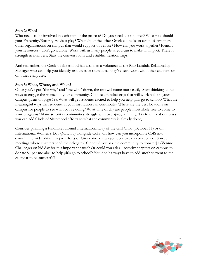#### **Step 2: Who?**

Who needs to be involved in each step of the process? Do you need a committee? What role should your Fraternity/Sorority Advisor play? What about the other Greek councils on campus? Are there other organizations on campus that would support this cause? How can you work together? Identify your resources - don't go it alone! Work with as many people as you can to make an impact. There is strength in numbers. Start the conversations and establish relationships.

And remember, the Circle of Sisterhood has assigned a volunteer as the Rho Lambda Relationship Manager who can help you identify resources or share ideas they've seen work with other chapters or on other campuses.

#### **Step 3: What, Where, and When?**

Once you've got "the why" and "the who" down, the rest will come more easily! Start thinking about ways to engage the women in your community. Choose a fundraiser(s) that will work well on your campus (ideas on page 19). What will get students excited to help you help girls go to school? What are meaningful ways that students at your institution can contribute? Where are the best locations on campus for people to see what you're doing? What time of day are people most likely free to come to your programs? Many sorority communities struggle with over-programming. Try to think about ways you can add Circle of Sisterhood efforts to what the community is already doing.

Consider planning a fundraiser around International Day of the Girl Child (October 11) or on International Women's Day (March 8) alongside CofS. Or how can you incorporate CofS into community wide philanthropic efforts or Greek Week. Can you do a weekly coin competition at meetings where chapters send the delegates? Or could you ask the community to donate \$1 (Venmo Challenge) on bid day for this important cause? Or could you ask all sorority chapters on campus to donate \$1 per member to help girls go to school? You don't always have to add another event to the calendar to be successful!

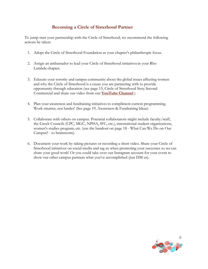## **Becoming a Circle of Sisterhood Partner**

<span id="page-6-0"></span>To jump start your partnership with the Circle of Sisterhood, we recommend the following actions be taken:

- 1. Adopt the Circle of Sisterhood Foundation as your chapter's philanthropic focus.
- 2. Assign an ambassador to lead your Circle of Sisterhood initiativesin your Rho Lambda chapter.
- 3. Educate your sorority and campus community about the global issues affecting women and why the Circle of Sisterhood is a cause you are partnering with to provide opportunity through education (see page 15, Circle of Sisterhood Sixty Second Commercial and share our video from our **[YouTube Channel](https://youtu.be/tewkku1iJW4)** ).
- 4. Plan your awareness and fundraising initiatives to compliment current programming. Work smarter, not harder! (See page 19, Awareness & Fundraising Ideas)
- 5. Collaborate with others on campus. Potential collaborators might include faculty/staff, the Greek Councils (CPC, MGC, NPHA, IFC, etc.), international student organizations, women's studies program, etc. (use the handout on page 18 - What Can We Do on Our Campus? - to brainstorm).
- 6. Document your work by taking pictures or recording a short video. Share your Circle of Sisterhood initiatives on social media and tag us when promoting your successes so we can share your good work! Or you could take over our Instagram account for your event to show our other campus partners what you've accomplished (just DM us).

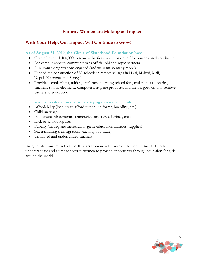## **Sorority Women are Making an Impact**

## <span id="page-7-0"></span>**With Your Help, Our Impact Will Continue to Grow!**

## **As of August 31, 2019, the Circle of Sisterhood Foundation has:**

- Granted over \$1,400,000 to remove barriers to education in 25 countries on 4 continents
- 282 campus sorority communities as official philanthropic partners
- 21 alumnae organizations engaged (and we want so many more!)
- Funded the construction of 30 schools in remote villages in Haiti, Malawi, Mali, Nepal, Nicaragua and Senegal
- Provided scholarships, tuition, uniforms, boarding school fees, malaria nets, libraries, teachers, tutors, electricity, computers, hygiene products, and the list goes on…to remove barriers to education.

#### **The barriers to education that we are trying to remove include:**

- Affordability (inability to afford tuition, uniforms, boarding, etc.)
- Child marriage
- Inadequate infrastructure (conducive structures, latrines, etc.)
- Lack of school supplies
- Puberty (inadequate menstrual hygiene education, facilities, supplies)
- Sex trafficking (reintegration, teaching of a trade)
- Untrained and underfunded teachers

Imagine what our impact will be 10 years from now because of the commitment of both undergraduate and alumnae sorority women to provide opportunity through education for girls around the world!

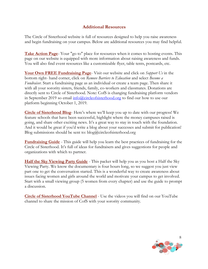## **Additional Resources**

<span id="page-8-0"></span>The Circle of Sisterhood website is full of resources designed to help you raise awareness and begin fundraising on your campus. Below are additional resources you may find helpful.

**[Take Action Page](https://www.circleofsisterhood.org/take-action/)**- Your "go to" place for resources when it comes to hosting events. This page on our website is equipped with more information about raising awareness and funds. You will also find event resources like a customizable flyer, table tents, postcards, etc.

**[Your Own FREE Fundraising Page](https://www.flipcause.com/widget/widget_home/MTkzMjQ%3D)**- Visit our website and click on *Support Us* in the bottom right- hand corner, click on *Remove Barriers to Education* and select *Become a Fundraiser*. Start a fundraising page as an individual or create a team page. Then share it with all your sorority sisters, friends, family, co-workers and classmates. Donations are directly sent to Circle of Sisterhood. Note: CofS is changing fundraising platform vendors in September 2019 so email  $\frac{info(\hat{a})$ circleofsisterhood.org to find our how to use our platform beginning October 1, 2019.

**[Circle of Sisterhood Blog](https://www.circleofsisterhood.org/inside-the-circle/)**- Here's where we'll keep you up to date with our progress! We feature schools that have been successful, highlight where the money campuses raised is going, and share other exciting news. It's a great way to stay in touch with the foundation. And it would be great if you'd write a blog about your successes and submit for publication! Blog submissions should be sent to:  $blog(\hat{a})$  circleofsisterhood.org

**Fundraising Guide** - This guide will help you learn the best practices of fundraising for the Circle of Sisterhood. It's full of ideas for fundraisers and gives suggestions for people and organizations with which to partner.

**Half the Sky Viewing Party Guide** - This packet will help you as you host a Half the Sky Viewing Party. We know the documentary is four hours long, so we suggest you just view part one to get the conversation started. This is a wonderful way to create awareness about issues facing women and girls around the world and motivate your campus to get involved. Start with a small viewing group (5 women from every chapter) and use the guide to prompt a discussion.

**[Circle of Sisterhood YouTube Channel](https://youtu.be/tewkku1iJW4)** - Use the videos you will find on our YouTube channel to share the mission of CofS with your sorority community.

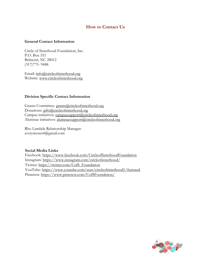## **How to Contact Us**

#### <span id="page-9-0"></span>**General Contact Information**

Circle of Sisterhood Foundation, Inc. P.O. Box 551 Belmont, NC 28012 (317)775- 9488

Email: [info@circleofsisterhood.org](mailto:info@circleofsisterhood.org) Website: [www.circleofsisterhood.org](http://www.circleofsisterhood.org/)

#### **Division Specific Contact Information**

Grants Committee: [grants@circleofsisterhood.org](mailto:grants@circleofsisterhood.org) Donations: [gifts@circleofsisterhood.org](mailto:gifts@circleofsisterhood.org) Campus initiatives: [campussupport@circleofsisterhood.org](mailto:campussupport@circleofsisterhood.org) Alumnae initiatives: [alumnaesupport@circleofsisterhood.org](mailto:alumnaesupport@circleofsisterhood.org)

Rho Lambda Relationship Manager: averymoses4@gmail.com

#### **Social Media Links**

Facebook:<https://www.facebook.com/CircleofSisterhoodFoundation> Instagram:<https://www.instagram.com/circleofsisterhood/> Twitter: [https://twitter.com/CofS\\_Foundation](https://twitter.com/CofS_Foundation) YouTube:<https://www.youtube.com/user/circleofsisterhood1/featured> Pinterest:<https://www.pinterest.com/CofSFoundation/>

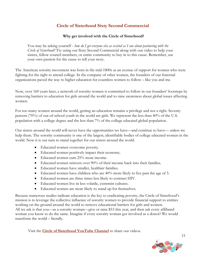## **Circle of Sisterhood Sixty Second Commercial**

#### **Why get involved with the Circle of Sisterhood?**

You may be asking yourself - *how do I get everyone else as excited as I am about partnering with the Circle of Sisterhood?* Try using our Sixty Second Commercial along with our video to help your sisters, fellow council members, or entire community to buy in to this cause. Remember, use your own passion for the cause to tell your story*.*

The American sorority movement was born in the mid-1800s as an avenue of support for women who were fighting for the right to attend college. In the company of other women, the founders of our fraternal organizations paved the way to higher education for countless women to follow – like you and me.

Now, over 160 years later, a network of sorority women is committed to follow in our founders' footsteps by removing barriers to education for girls around the world and to raise awareness about global issues affecting women.

For too many women around the world, getting an education remains a privilege and not a right. Seventy percent (70%) of out-of-school youth in the world are girls. We represent the less than 40% of the U.S. population with a college degree and the less than 7% of the college educated global population.

Our sisters around the world will never have the opportunities we have—and continue to have— unless we help them. The sorority community is one of the largest, identifiable bodies of college educated women in the world. Now it is our turn to stand together for our sisters around the world.

- Educated women overcome poverty.
- Educated women positively impact their economy.
- Educated women earn 25% more income.
- Educated women reinvest over 90% of their income back into their families.
- Educated women have smaller, healthier families.
- Educated women have children who are 40% more likely to live past the age of 5.
- Educated women are three times less likely to contract HIV.
- Educated women live in less volatile, extremist cultures.
- Educated women are more likely to stand up for themselves.

Because numerous studies indicate education is the key to eradicating poverty, the Circle of Sisterhood's mission is to leverage the collective influence of sorority women to provide financial support to entities working on the ground around the world to remove educational barriers for girls and women. All we ask is that you—as a sorority woman—give or raise \$53 this year, and then ask every affiliated woman you know to do the same. Imagine if every sorority woman got involved as a donor? We would transform the world – literally.

Visit the **[Circle of Sisterhood YouTube Channel](https://www.youtube.com/user/circleofsisterhood1/videos)** to share our videos.



15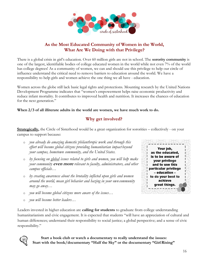

## **As the Most Educated Community of Women in the World, What Are We Doing with that Privilege?**

There is a global crisis in girl's education. Over 60 million girls are not in school. The **sorority community** is one of the largest, identifiable bodies of college educated women in the world while not even 7% of the world has college degrees! As a community of women, we can and should use this privilege to help our circle of influence understand the critical need to remove barriers to education around the world. We have a responsibility to help girls and women achieve the one thing we all have - education.

Women across the globe still lack basic legal rights and protections. Mounting research by the United Nations Development Programme indicates that "women's empowerment helps raise economic productivity and reduce infant mortality. It contributes to improved health and nutrition. It increases the chances of education for the next generation."

#### **When 2/3 of all illiterate adults in the world are women, we have much work to do.**

## **Why get involved?**

**Strategically,** the Circle of Sisterhood would be a great organization for sororities – collectively - on your campus to support because:

- o *you already do amazing domestic philanthropic work and through this effort will become global citizens providing humanitarian impact beyond your campus, hometown community, and the United States.*
- o *by focusing on global issues related to girls and women, you will help make your community* **even more** *relevant to faculty, administrators, and other campus officials…*
- o *by creating awareness about the brutality inflicted upon girls and women around the world, mean girl behavior and hazing in your own community may go away…*
- o *you will become global citizens more aware of the issues…*
- o *you will become better leaders…*



Leaders invested in higher education are **calling for students** to graduate from college understanding humanitarianism and civic engagement. It is expected that students "will have an appreciation of cultural and human differences; understand their responsibility to social justice; a global perspective; and a sense of civic responsibility."



**Start a book club or watch a documentary to really understand the issues: Start with the book/documentary "Half the Sky" or the documentary "GirlRising"**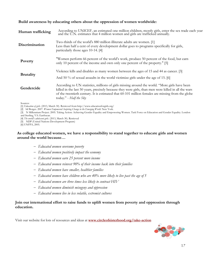#### **Build awareness by educating others about the oppression of women worldwide:**

| Human trafficking | According to UNICEF, an estimated one million children, mostly girls, enter the sex trade each year and the U.N. estimates that 4 million women and girls are trafficked annually.                                                                                                                                                    |
|-------------------|---------------------------------------------------------------------------------------------------------------------------------------------------------------------------------------------------------------------------------------------------------------------------------------------------------------------------------------|
| Discrimination    | Two-thirds of the world's 880 million illiterate adults are women. [1]<br>Less than half a cent of every development dollar goes to programs specifically for girls,<br>particularly those ages 10-14. [4]                                                                                                                            |
| Poverty           | "Women perform 66 percent of the world's work, produce 50 percent of the food, but earn<br>only 10 percent of the income and own only one percent of the property." [5]                                                                                                                                                               |
| <b>Brutality</b>  | Violence kills and disables as many women between the ages of 15 and 44 as cancer. [3]<br>And 50 % of sexual assaults in the world victimize girls under the age of 15. [6]                                                                                                                                                           |
| Gendercide        | According to UN statistics, millions of girls missing around the world. "More girls have been<br>killed in the last 50 years, precisely because they were girls, than men were killed in all the wars<br>of the twentieth century. It is estimated that 60-101 million females are missing from the globe<br>today." - Half the $Sky$ |

Sources:

[2] hil Borges. 2007. *Women Empowered: Inspiring Change in the Emerging World*. New York.

[3] N Millennium Project. 2005. Taking Action: Achieving Gender Equality and Empowering Women. Task Force on Education and Gender Equality. London and Sterling, VA: Earthscan.

[4] *The world's adolescent girls*. (2013, March 30). Retrieved

[5] NDP (United Nations Development Program)

[6] UNFPA, 2005.

#### **As college educated women, we have a responsibility to stand together to educate girls and women around the world because…**

- − *Educated women overcome poverty*
- − *Educated women positively impact the economy*
- − *Educated women earn 25 percent more income*
- − *Educated women reinvest 90% of their income back into their families*
- − *Educated women have smaller, healthier families*
- − *Educated women have children who are 40% more likely to live past the age of 5*
- − *Educated women are three times less likely to contract HIV*
- − *Educated women diminish misogyny and oppression*
- − *Educated women live in less volatile, extremist cultures*

#### **Join our international effort to raise funds to uplift women from poverty and oppression through education.**

Visit our website for lots of resources and ideas at **[www.circleofsisterhood.org/take-action](http://www.circleofsisterhood.org/take-action)**



<sup>[1]</sup> *Education of girls*. (2013, March 30). Retrieved from <http://www.educationforgirls.org/>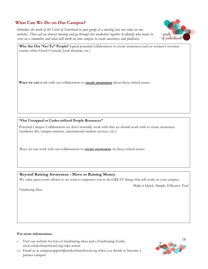## <span id="page-13-0"></span>**What Can We Do on Our Campus?**

*Introduce the work of the Circle of Sisterhood to your group at a meeting (use our video on our website). Then call an interest meeting and go through this worksheet together to identify who wants to serve on a committee and what will work on your campus to create awareness and fundraise.*



**Who Are Our "Go-To" People?** logical potential collaborators to create awareness such as women's resource center; other Greek Councils, local alumnae, etc.)

**Ways we can** work with our collaborators to **create awareness** about these critical issues:

#### **"Our Untapped or Under-utilized People Resources"**

Potential Campus Collaborators we don't normally work with that we should work with to create awareness (residence life, campus ministry, international student services, etc.):

Ways we can work with our collaborators to **create awareness** on these critical issues:

#### **Beyond Raising Awareness Move to Raising Money**

We value grass-roots efforts so we want to empower you to do GREAT things that will work on your campus.

Make it Quick. Simple. Effective. Fun!

*Fundraising Ideas:*

#### **For more information:**

- o Visit our website for lots of fundraising ideas and a Fundraising Guide: [www.circleofsisterhood.org/take-action](http://www.circleofsisterhood.org/take-action)
- or Email us a[t campussupport@circleofsisterhood.org w](mailto:campussupport@circleofsisterhood.org)hen you decide to become a partner campus!

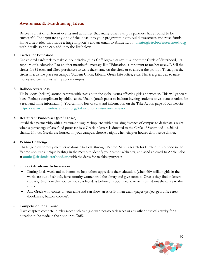## <span id="page-14-0"></span>**Awareness & Fundraising Ideas**

Below is a list of different events and activities that many other campus partners have found to be successful. Incorporate any one of the ideas into your programming to build awareness and raise funds. Have a new idea that made a huge impact? Send an email to Annie Labo: **[annie@circleofsisterhood.org](mailto:annie@circleofsisterhood.org)** with details so she can add it to the list below.

#### **1. Circles for Education**

Use colored cardstock to make cut-out circles (think CofS logo) that say, "I support the Circle of Sisterhood," "I support girl's education," or another meaningful message like "Education is important to me because…". Sell the circles for \$1 each and allow purchasers to write their name on the circle or to answer the prompt. Then, post the circles in a visible place on campus (Student Union, Library, Greek Life office, etc.). This is a great way to raise money and create a visual impact on campus**.**

#### **2. Balloon Awareness**

Tie balloons (helium) around campus with stats about the global issues affecting girls and women. This will generate buzz. Perhaps compliment by tabling at the Union (attach paper to balloon inviting students to visit you at union for a treat and more information). You can find lots of stats and information on the Take Action page of our website: **[https://www.circleofsisterhood.org/take-action/raise-](https://www.circleofsisterhood.org/take-action/raise-awareness/) awareness/**

#### **3. Restaurant Fundraiser (profit share)**

Establish a partnership with a restaurant, yogurt shop, etc. within walking distance of campus to designate a night when a percentage of any food purchase by a Greek in letters is donated to the Circle of Sisterhood – a 501c3 charity. If most Greeks are housed on your campus, choose a night when chapter houses don't serve dinner.

#### **4. Venmo Challenge**

Challenge each sorority member to donate to CofS through Venmo. Simply search for Circle of Sisterhood in the Venmo app, use a unique hashtag in the memo to identify your campus/chapter, and send an email to Annie Labo at **[annie@circleofsisterhood.org](mailto:annie@circleofsisterhood.org)** with the dates for tracking purposes.

#### **5. Support Academic Achievement**

- During finals week and midterms, to help others appreciate their education (when 60+ million girls in the world are out of school), have sorority women troll the library and give treats to Greeks they find in letters studying. Promote that you will do so a few days before on social media. Attach stats about the cause to the treats.
- Any Greek who comes to your table and can show an A or B on an exam/paper/project gets a free treat (bookmark, button, cookies).

#### **6. Competition for a Cause**

Have chapters compete in relay races such as tug-o-war, potato sack races or any other physical activity for a donation to be made in their honor to CofS.

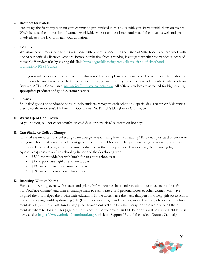#### **7. Brothers for Sisters**

Encourage the fraternity men on your campus to get involved in this cause with you. Partner with them on events. Why? Because the oppression of women worldwide will not end until men understand the issues as well and get involved. Ask the IFC to match your donation.

#### **8. T-Shirts**

We know how Greeks love t-shirts – sell one with proceeds benefiting the Circle of Sisterhood! You can work with one of our officially licensed vendors. Before purchasing from a vendor, investigate whether the vendor is licensed to use CofS trademarks by visiting this link: [https://greeklicensing.com/clients/circle-of-sisterhood](https://greeklicensing.com/clients/circle-of-sisterhood-foundation/10885/search)[foundation/10885/search](https://greeklicensing.com/clients/circle-of-sisterhood-foundation/10885/search)

Or if you want to work with a local vendor who is not licensed, please ask them to get licensed. For information on becoming a licensed vendor of the Circle of Sisterhood, please be sure your service provider contacts: Melissa JeanBaptiste, Affinity Consultants, [melissa@affinity-consultants.com. A](mailto:melissa@affinity-consultants.com)ll official vendors are screened for high quality, appropriate products and good customer service.

#### **9. Grams**

Sell baked goods or handmade notes to help students recognize each other on a special day. Examples: Valentine's Day (Sweetheart Grams), Halloween (Boo Grams), St. Patrick's Day (Lucky Grams), etc.

#### **10. Warm Up or Cool Down**

At your union, sell hot cocoa/coffee on cold days or popsicles/ice cream on hot days.

#### **11. Can Shake or Collect Change**

Can shake around campus collecting spare change--it is amazing how it can add up! Pass out a postcard or sticker to everyone who donates with a fact about girls and education. Or collect change from everyone attending your next event or educational program and be sure to share what the money will do. For example, the following figures equate to expenses related to schooling in parts of the developing world:

- \$3.30 can provide her with lunch for an entire school year
- \$7 can purchase a girl a set of textbooks
- \$13 can purchase her tuition for a year
- \$29 can put her in a new school uniform

#### **12. Inspiring Women Night**

Have a note writing event with snacks and prizes. Inform women in attendance about our cause (use videos from our YouTube channel) and then encourage them to each write 2 or 3 personal notes to other women who have inspired them or helped them with their education. In the notes, have them ask that person to help girls go to school in the developing world by donating \$20. (Examples: mothers, grandmothers, aunts, teachers, advisors, counselors, mentors, etc.) Set up a CofS fundraising page through our website to make it easy for note writers to tell their mentors where to donate. This page can be customized to your event and all donor gifts will be tax deductible. Visit our website: [https://www.circleofsisterhood.org/,](https://www.circleofsisterhood.org/) click on Support Us, and then select Create a Campaign.

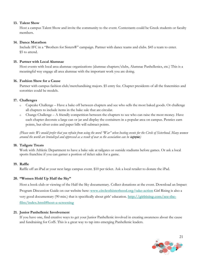#### **13. Talent Show**

Host a campus Talent Show and invite the community to the event. Contestants could be Greek students or faculty members.

#### **14. Dance Marathon**

Include IFC in a "Brothers for Sisters®" campaign. Partner with dance teams and clubs. \$45 a team to enter. \$5 to attend.

#### **15. Partner with Local Alumnae**

Host events with local area alumnae organizations (alumnae chapters/clubs, Alumnae Panhellenics, etc.) This is a meaningful way engage all area alumnae with the important work you are doing.

#### **16. Fashion Show for a Cause**

Partner with campus fashion club/merchandising majors. \$5 entry fee. Chapter presidents of all the fraternities and sororities could be models.

#### **17. Challenges**

- o Cupcake Challenge Have a bake off between chapters and see who sells the most baked goods. Or challenge all chapters to include items in the bake sale that are circular.
- o Change Challenge A friendly competition between the chapters to see who can raise the most money. Have each chapter decorate a large can or jar and display the containers in a popular area on campus. Pennies earn points, but silver coins and paper bills will subtract points.

*(Please note: We would prefer that you refrain from using the word "War" when hosting events for the Circle of Sisterhood. Many women around the world are brutalized and oppressed as a result of war so the association can be infinitional* 

#### **18. Tailgate Treats**

Work with Athletic Department to have a bake sale at tailgates or outside stadiums before games. Or ask a local sports franchise if you can garner a portion of ticket sales for a game.

#### **19. Raffle**

Raffle off an iPad at your next large campus event. \$10 per ticket. Ask a local retailer to donate the iPad.

#### **20. "Women Hold Up Half the Sky"**

Host a book club or viewing of the Half the Sky documentary. Collect donations at the event. Download an Impact Program Discussion Guide on our website here: **[www.circleofsisterhood.org/take-action](http://www.circleofsisterhood.org/take-action)** Girl Rising is also a very good documentary (90 min.) that is specifically about girls' education. **[http://girlrising.com/see-the](http://girlrising.com/see-the-film/index.html#host-a-screening)[film/index.html#host-a-screening](http://girlrising.com/see-the-film/index.html#host-a-screening)**

#### **21. Junior Panhellenic Involvement**

If you have one, find creative ways to get your Junior Panhellenic involved in creating awareness about the cause and fundraising for CofS. This is a great way to tap into emerging Panhellenic leaders.

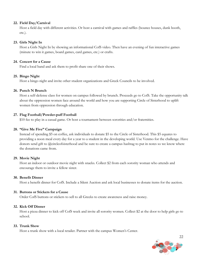#### **22. Field Day/Carnival**

Host a field day with different activities. Or host a carnival with games and raffles (bounce houses, dunk booth, etc.).

#### **23. Girls Night In**

Host a Girls Night In by showing an informational CofS video. Then have an evening of fun interactive games (minute to win it games, board games, card games, etc.) or crafts.

#### **24. Concert for a Cause**

Find a local band and ask them to profit share one of their shows.

#### **25. Bingo Night**

Host a bingo night and invite other student organizations and Greek Councils to be involved.

#### **26. Punch N Brunch**

Host a self-defense class for women on campus followed by brunch. Proceeds go to CofS. Take the opportunity talk about the oppression women face around the world and how you are supporting Circle of Sisterhood to uplift women from oppression through education.

#### **27. Flag Football/Powder-puff Football**

\$10 fee to play in a casual game. Or host a tournament between sororities and/or fraternities.

#### **28. "Give Me Five" Campaign**

Instead of spending \$5 on coffee, ask individuals to donate \$5 to the Circle of Sisterhood. This \$5 equates to providing a noon meal every day for a year to a student in the developing world. Use Venmo for the challenge. Have donors send gift to @circleofsisterhood and be sure to create a campus hashtag to put in notes so we know where the donations came from.

#### **29. Movie Night**

Host an indoor or outdoor movie night with snacks. Collect \$2 from each sorority woman who attends and encourage them to invite a fellow sister.

#### **30. Benefit Dinner**

Host a benefit dinner for CofS. Include a Silent Auction and ask local businesses to donate items for the auction.

#### **31. Buttons or Stickers for a Cause**

Order CofS buttons or stickers to sell to all Greeks to create awareness and raise money.

#### **32. Kick Off Dinner**

Host a pizza dinner to kick off CofS week and invite all sorority women. Collect \$2 at the door to help girls go to school.

#### **33. Trunk Show**

Host a trunk show with a local retailer. Partner with the campus Women's Center.

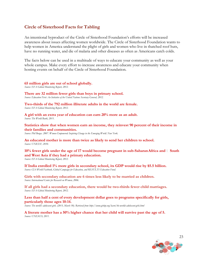## <span id="page-18-0"></span>**Circle of Sisterhood Facts for Tabling**

An intentional byproduct of the Circle of Sisterhood Foundation's efforts will be increased awareness about issues affecting women worldwide. The Circle of Sisterhood Foundation wants to help women in America understand the plight of girls and women who live in thatched roof huts, have no running water, and die of malaria and other diseases as often as Americans catch colds.

The facts below can be used in a multitude of ways to educate your community as well as your whole campus. Make every effort to increase awareness and educate your community when hosting events on behalf of the Circle of Sisterhood Foundation.

#### **65 million girls are out of school globally.**

*Source: EFA Global Monitoring Report, 2012.*

**There are 32 million fewer girls than boys in primary school.** *Source: Education First: An Initiative of the United Nations Secretary General, 2012.*

**Two-thirds of the 792 million illiterate adults in the world are female.** *Source: EFA Global Monitoring Report, 2012.*

**A girl with an extra year of education can earn 20% more as an adult.** *Source: The World Bank, 2011.*

**Statistics show that when women earn an income, they reinvest 90 percent of their income in their families and communities.**

*Source: Phil Borges. 2007. Women Empowered: Inspiring Change in the Emerging World. New York.*

**An educated mother is more than twice as likely to send her children to school.** *Source: UNICEF, 2010.*

**10% fewer girls under the age of 17 would become pregnant in sub-Saharan Africa and**  $\Box$  **South and West Asia if they had a primary education.** *Source: EFA Global Monitoring Report, 2012.*

**If India enrolled 1% more girls in secondary school, its GDP would rise by \$5.5 billion.** *Source: CIA World Factbook, Global Campaign for Education, and RESULTS Education Fund.*

**Girls with secondary education are 6 times less likely to be married as children.** *Source: International Center for Research on Women, 2006.*

**If all girls had a secondary education, there would be two-thirds fewer child marriages.** *Source: EFA Global Monitoring Report, 2012.*

#### **Less than half a cent of every development dollar goes to programs specifically for girls, particularly those ages 10-14.**

*Source: The world's adolescent girls. (2013, March 30). Retrieved fro[m http://www.girlup.org/learn/the-worlds-adolescent-girls.html](http://www.girlup.org/learn/the-worlds-adolescent-girls.html)*

**A literate mother has a 50% higher chance that her child will survive past the age of 5.** *Source: UNESCO, 2011.*